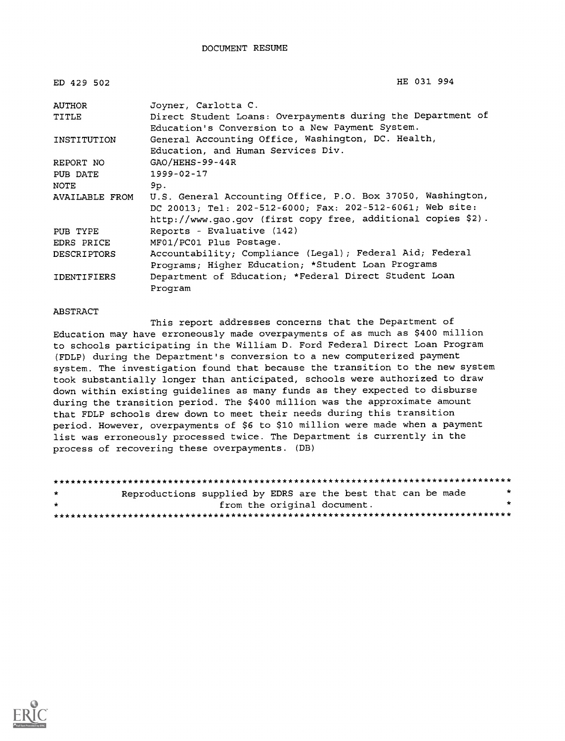| ED 429 502         | HE 031 994                                                                                                                                                                               |
|--------------------|------------------------------------------------------------------------------------------------------------------------------------------------------------------------------------------|
| AUTHOR             | Joyner, Carlotta C.                                                                                                                                                                      |
| TITLE              | Direct Student Loans: Overpayments during the Department of<br>Education's Conversion to a New Payment System.                                                                           |
| INSTITUTION        | General Accounting Office, Washington, DC. Health,<br>Education, and Human Services Div.                                                                                                 |
| REPORT NO          | $GAO/HEHS - 99 - 44R$                                                                                                                                                                    |
| PUB DATE           | $1999 - 02 - 17$                                                                                                                                                                         |
| NOTE               | 9p.                                                                                                                                                                                      |
| AVAILABLE FROM     | U.S. General Accounting Office, P.O. Box 37050, Washington,<br>DC 20013; Tel: 202-512-6000; Fax: 202-512-6061; Web site:<br>http://www.gao.gov (first copy free, additional copies \$2). |
| PUB TYPE           | Reports - Evaluative (142)                                                                                                                                                               |
| EDRS PRICE         | MF01/PC01 Plus Postage.                                                                                                                                                                  |
| <b>DESCRIPTORS</b> | Accountability; Compliance (Legal); Federal Aid; Federal<br>Programs; Higher Education; *Student Loan Programs                                                                           |
| <b>IDENTIFIERS</b> | Department of Education; *Federal Direct Student Loan<br>Program                                                                                                                         |

#### ABSTRACT

This report addresses concerns that the Department of Education may have erroneously made overpayments of as much as \$400 million to schools participating in the William D. Ford Federal Direct Loan Program (FDLP) during the Department's conversion to a new computerized payment system. The investigation found that because the transition to the new system took substantially longer than anticipated, schools were authorized to draw down within existing guidelines as many funds as they expected to disburse during the transition period. The \$400 million was the approximate amount that FDLP schools drew down to meet their needs during this transition period. However, overpayments of \$6 to \$10 million were made when a payment list was erroneously processed twice. The Department is currently in the process of recovering these overpayments. (DB)

\*\*\*\*\*\*\*\*\*\*\*\*\*\*\*\*\*\*\*\*\*\*\*\*\*\*\*\*\*\*\*\*\*\*\*\*\*\*\*\*\*\*\*\*\*\*\*\*\*\*\*\*\*\*\*\*\*\*\*\*\*\*\*\*\*\*\*\*\*\*\*\*\*\*\*\*\*\*\*\* Reproductions supplied by EDRS are the best that can be made  $*$ from the original document. \*\*\*\*\*\*\*\*\*\*\*\*\*\*\*\*\*\*\*\*\*\*\*\*\*\*\*\*\*\*\*\*\*\*\*\*\*\*\*\*\*\*\*\*\*\*\*\*\*\*\*\*\*\*\*\*\*\*\*\*\*\*\*\*\*\*\*\*\*\*\*\*\*\*\*\*\*\*\*\*

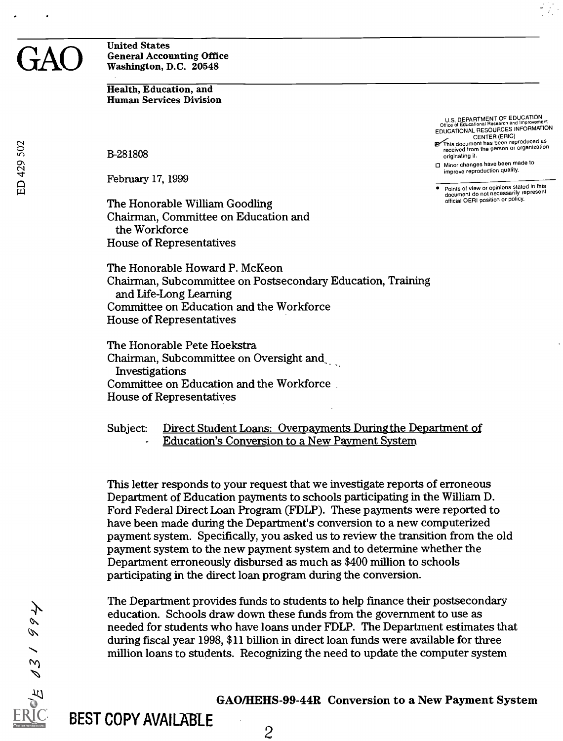#### GAO General Accounting Office<br>Washington, D.C. 20548 United States Washington, D.C. 20548

Health, Education, and Human Services Division

B-281808

February 17, 1999

The Honorable William Goodling Chairman, Committee on Education and the Workforce House of Representatives

U.S. DEPARTMENT OF EDUCATION<br>Office of Educational Research and Improvement<br>EDUCATIONAL RESOURCES INFORMATION

CENTER (ERIC)<br>This document has been reproduced as<br>received from the person or organization originating it.

0 Minor changes have been made to improve reproduction quality.

Points of view or opinions stated in this document do not necessarily represent official OERI position or policy.

The Honorable Howard P. McKeon Chairman, Subcommittee on Postsecondary Education, Training and Life-Long Learning Committee on Education and the Workforce House of Representatives

The Honorable Pete Hoekstra Chairman, Subcommittee on Oversight and\_ Investigations Committee on Education and the Workforce . House of Representatives

Subject: Direct Student Loans: Overpayments During the Department of Education's Conversion to a New Payment System

This letter responds to your request that we investigate reports of erroneous Department of Education payments to schools participating in the William D. Ford Federal Direct Loan Program (FDLP). These payments were reported to have been made during the Department's conversion to a new computerized payment system. Specifically, you asked us to review the transition from the old payment system to the new payment system and to determine whether the Department erroneously disbursed as much as \$400 million to schools participating in the direct loan program during the conversion.

The Department provides funds to students to help fmance their postsecondary education. Schools draw down these funds from the government to use as needed for students who have loans under FDLP. The Department estimates that during fiscal year 1998, \$11 billion in direct loan funds were available for three million loans to students. Recognizing the need to update the computer system

GAO/HEHS-99-44R Conversion to a New Payment System

 $\mathscr{O}$ D  $\mathcal{L}$ 

BEST COPY AVAILABLE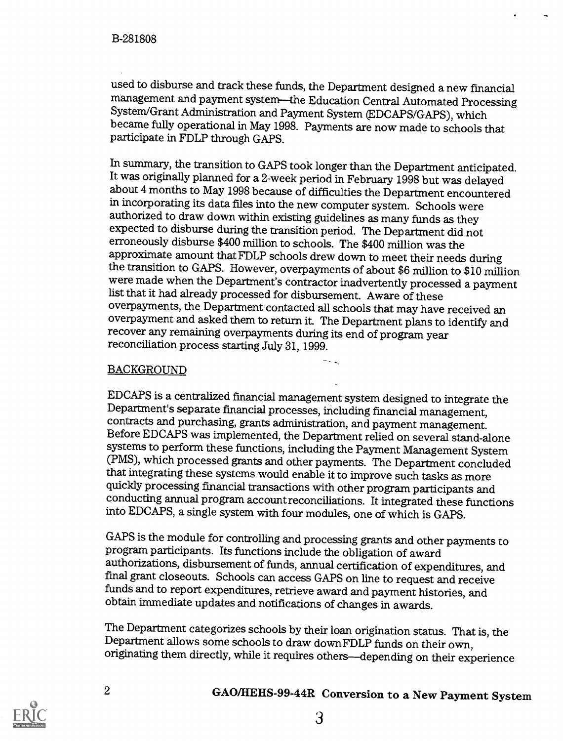used to disburse and track these funds, the Department designed a new financial System/Grant Administration and Payment System (EDCAPS/GAPS), which became fully operational in May 1998. Payments are now made to schools that participate in FDLP through GAPS.

In summary, the transition to GAPS took longer than the Department anticipated. It was originally planned for a 2-week period in February 1998 but was delayed about 4 months to May 1998 because of difficulties the Department encountered in incorporating its data files into the new computer system. Schools were authorized to draw down within existing guidelines as many funds as they expected to disburse during the transition period. The Department did not erroneously disburse \$400 million to schools. The \$400 million was the approximate amount that FDLP schools drew down to meet their needs during were made when the Department's contractor inadvertently processed a payment list that it had already processed for disbursement. Aware of these<br>overpayments, the Department contacted all schools that may have received an overpayment and asked them to return it. The Department plans to identify and recover any remaining overpayments during its end of program year reconciliation process starting July 31, 1999.

-

#### BACKGROUND

EDCAPS is a centralized financial management system designed to integrate the Department's separate financial processes, including financial management, contracts and purchasing, grants administration, and payment manageme systems to perform these functions, including the Payment Management System (PMS), which processed grants and other payments. The Department concluded quickly processing financial transactions with other program participants and conducting annual program account reconciliations. It integrated these functions into EDCAPS, a single system with four modules, one of which is GAPS.

GAPS is the module for controlling and processing grants and other payments to program participants. Its functions include the obligation of award authorizations, disbursement of funds, annual certification of expenditures, and fmal grant closeouts. Schools can access GAPS on line to request and receive funds and to report expenditures, retrieve award and payment histories, and obtain immediate updates and notifications of changes in awards.

The Department categorizes schools by their loan origination status. That is, the Department allows some schools to draw downFDLP funds on their own, originating them directly, while it requires others--depending on their experience

<sup>2</sup> GAO/HEHS-99-44R Conversion to a New Payment System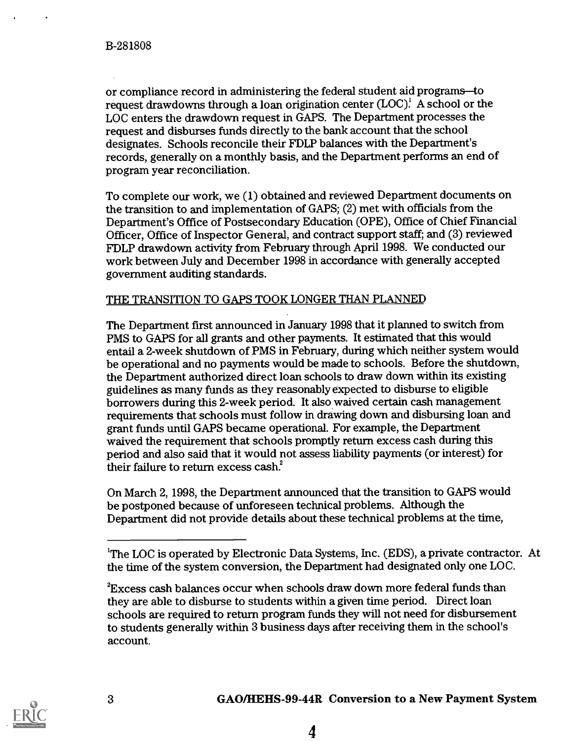or compliance record in administering the federal student aid programs-to request drawdowns through a loan origination center  $(LOC)^1$ . A school or the LOC enters the drawdown request in GAPS. The Department processes the request and disburses funds directly to the bank account that the school designates. Schools reconcile their FDLP balances with the Department's records, generally on a monthly basis, and the Department performs an end of program year reconciliation.

To complete our work, we (1) obtained and reviewed Department documents on the transition to and implementation of GAPS; (2) met with officials from the Department's Office of Postsecondary Education (OPE), Office of Chief Financial Officer, Office of Inspector General, and contract support staff; and (3) reviewed FDLP drawdown activity from February through April 1998. We conducted our work between July and December 1998 in accordance with generally accepted government auditing standards.

#### THE TRANSITION TO GAPS TOOK LONGER THAN PLANNED

The Department first announced in January 1998 that it planned to switch from PMS to GAPS for all grants and other payments. It estimated that this would entail a 2-week shutdown of PMS in February, during which neither system would be operational and no payments would be made to schools. Before the shutdown, the Department authorized direct loan schools to draw down within its existing guidelines as many funds as they reasonably expected to disburse to eligible borrowers during this 2-week period. It also waived certain cash management requirements that schools must follow in drawing down and disbursing loan and grant funds until GAPS became operational. For example, the Department waived the requirement that schools promptly return excess cash during this period and also said that it would not assess liability payments (or interest) for their failure to return excess cash.'

On March 2, 1998, the Department announced that the transition to GAPS would be postponed because of unforeseen technical problems. Although the Department did not provide details about these technical problems at the time,



<sup>&</sup>lt;sup>1</sup>The LOC is operated by Electronic Data Systems, Inc. (EDS), a private contractor. At the time of the system conversion, the Department had designated only one LOC.

 $\rm{^{2}Excess}$  cash balances occur when schools draw down more federal funds than they are able to disburse to students within a given time period. Direct loan schools are required to return program funds they will not need for disbursement to students generally within 3 business days after receiving them in the school's account.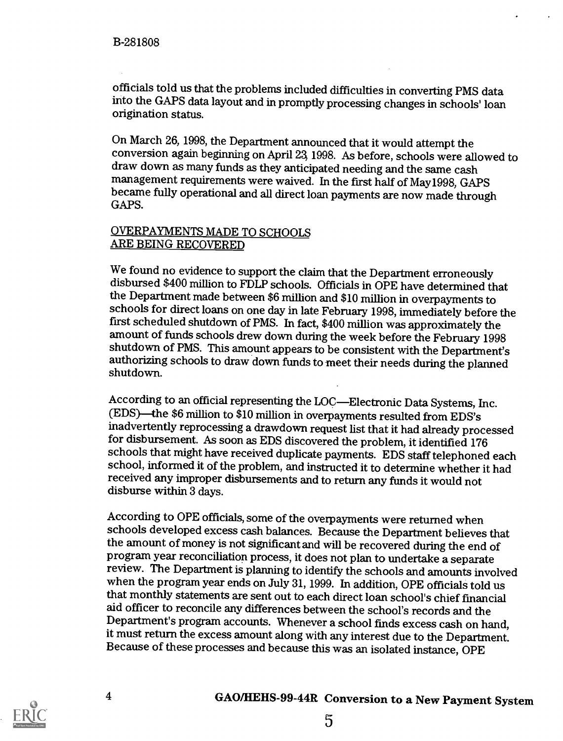officials told us that the problems included difficulties in converting PMS data into the GAPS data layout and in promptly processing changes in schools' loan origination status.

On March 26, 1998, the Department announced that it would attempt the conversion again beginning on April 23, 1998. As before, schools were allowed to draw down as many funds as they anticipated needing and the same cash management requirements were waived. In the first half of May1998, GAPS became fully operational and all direct loan payments are now made through GAPS.

#### OVERPAYMENTS MADE TO SCHOOLS ARE BEING RECOVERED

We found no evidence to support the claim that the Department erroneously disbursed \$400 million to FDLP schools. Officials in OPE have determined that the Department made between \$6 million and \$10 million in overpayments to schools for direct loans on one day in late February 1998, immediately before the first scheduled shutdown of PMS. In fact, \$400 million was approximately the amount of funds schools drew down during the week before the February 1998 shutdown of PMS. This amount appears to be consistent with the Department's authorizing schools to draw down funds to meet their needs during the planned shutdown.

According to an official representing the LOC—Electronic Data Systems, Inc. (EDS)—the \$6 million to \$10 million in overpayments resulted from EDS's inadvertently reprocessing a drawdown request list that it had already processed for disbursement. As soon as EDS discovered the problem, it identified 176 schools that might have received duplicate payments. EDS staff telephoned each school, informed it of the problem, and instructed it to determine whether it had received any improper disbursements and to return any funds it would not disburse within 3 days.

According to OPE officials, some of the overpayments were returned when schools developed excess cash balances. Because the Department believes that the amount of money is not significant and will be recovered during the end of program year reconciliation process, it does not plan to undertake a separate review. The Department is planning to identify the schools and amounts involved when the program year ends on July 31, 1999. In addition, OPE officials told us that monthly statements are sent out to each direct loan school's chief fmancial aid officer to reconcile any differences between the school's records and the Department's program accounts. Whenever a school finds excess cash on hand, it must return the excess amount along with any interest due to the Department. Because of these processes and because this was an isolated instance, OPE

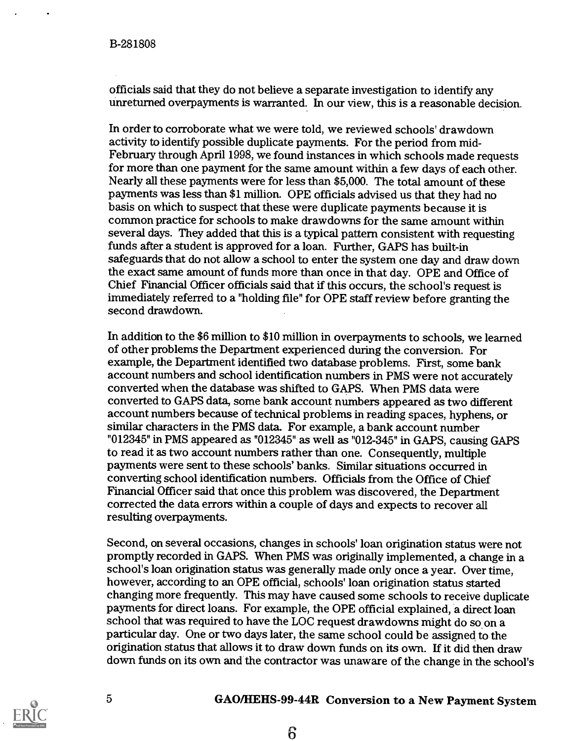officials said that they do not believe a separate investigation to identify any unreturned overpayments is warranted. In our view, this is a reasonable decision.

In order to corroborate what we were told, we reviewed schools' drawdown activity to identify possible duplicate payments. For the period from mid-February through April 1998, we found instances in which schools made requests for more than one payment for the same amount within a few days of each other. Nearly all these payments were for less than \$5,000. The total amount of these payments was less than \$1 million. OPE officials advised us that they had no basis on which to suspect that these were duplicate payments because it is common practice for schools to make drawdowns for the same amount within several days. They added that this is a typical pattern consistent with requesting funds after a student is approved for a loan. Further, GAPS has built-in safeguards that do not allow a school to enter the system one day and draw down the exact same amount of funds more than once in that day. OPE and Office of Chief Financial Officer officials said that if this occurs, the school's request is immediately referred to a "holding file" for OPE staff review before granting the second drawdown.

In addition to the \$6 million to \$10 million in overpayments to schools, we learned of other problems the Department experienced during the conversion. For example, the Department identified two database problems. First, some bank account numbers and school identification numbers in PMS were not accurately converted when the database was shifted to GAPS. When PMS data were converted to GAPS data, some bank account numbers appeared as two different account numbers because of technical problems in reading spaces, hyphens, or similar characters in the PMS data. For example, a bank account number "012345" in PMS appeared as "012345" as well as "012-345" in GAPS, causing GAPS to read it as two account numbers rather than one. Consequently, multiple payments were sent to these schools' banks. Similar situations occurred in converting school identification numbers. Officials from the Office of Chief Financial Officer said that once this problem was discovered, the Department corrected the data errors within a couple of days and expects to recover all resulting overpayments.

Second, on several occasions, changes in schools' loan origination status were not promptly recorded in GAPS. When PMS was originally implemented, a change in a school's loan origination status was generally made only once a year. Over time, however, according to an OPE official, schools' loan origination status started changing more frequently. This may have caused some schools to receive duplicate payments for direct loans. For example, the OPE official explained, a direct loan school that was required to have the LOC request drawdowns might do soon a particular day. One or two days later, the same school could be assigned to the origination status that allows it to draw down funds on its own. If it did then draw down funds on its own and the contractor was unaware of the change in the school's



### 5 GAO/HEHS-99-44R Conversion to a New Payment System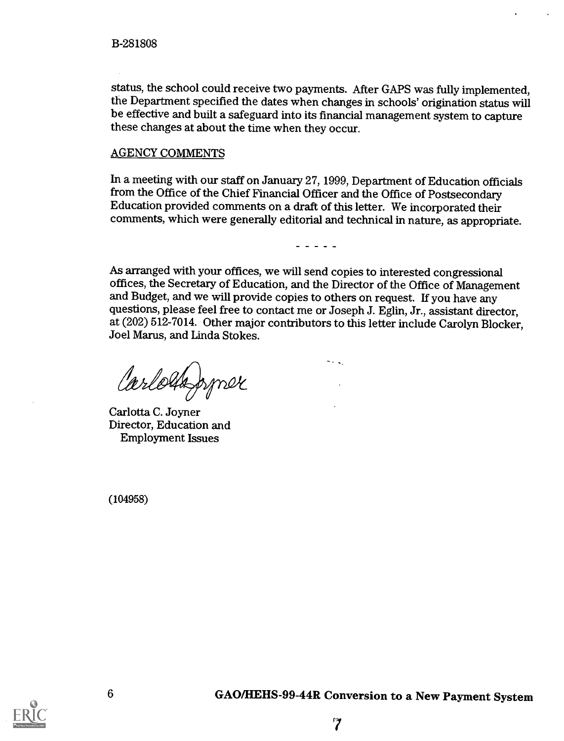status, the school could receive two payments. After GAPS was fully implemented, the Department specified the dates when changes in schools' origination status will be effective and built a safeguard into its financial management system to capture these changes at about the time when they occur.

#### AGENCY COMMENTS

In a meeting with our staff on January 27, 1999, Department of Education officials from the Office of the Chief Financial Officer and the Office of Postsecondary Education provided comments on a draft of this letter. We incorporated their comments, which were generally editorial and technical in nature, as appropriate.

 $\frac{1}{2}$ 

As arranged with your offices, we will send copies to interested congressional offices, the Secretary of Education, and the Director of the Office of Management and Budget, and we will provide copies to others on request. If you have any questions, please feel free to contact me or Joseph J. Eglin, Jr., assistant director, at (202) 512-7014. Other major contributors to this letter include Carolyn Blocker, Joel Marus, and Linda Stokes.

Carlossopper

Carlotta C. Joyner Director, Education and Employment Issues

(104958)

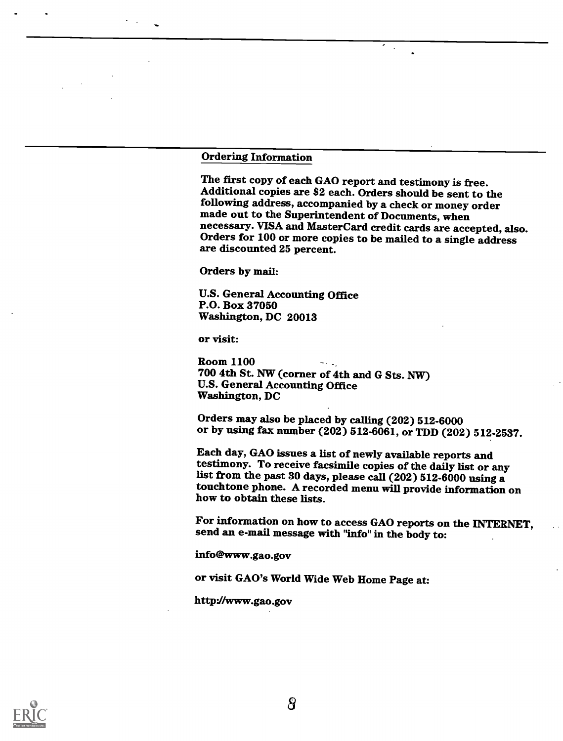#### Ordering Information

The first copy of each GAO report and testimony is free. Additional copies are \$2 each. Orders should be sent to the made out to the Superintendent of Documents, when<br>necessary. VISA and MasterCard credit cards are accepted, also. Orders for 100 or more copies to be mailed to a single address are discounted 25 percent.

Orders by mail:

U.S. General Accounting Office P.O. Box 37050 Washington, DC 20013

or visit:

Room 1100 700 4th St. NW (corner of 4th and G Sts. NW) U.S. General Accounting Office Washington, DC

Orders may also be placed by calling (202) 512-6000 or by using fax number (202) 512-6061, or TDD (202) 512-2537.

Each day, GAO issues a list of newly available reports and testimony. To receive facsimile copies of the daily list or any list from the past 30 days, please call (202) 512-6000 using a touchtone phone. A recorded menu will provide information on how to obtain these lists.

For information on how to access GAO reports on the INTERNET, send an e-mail message with "info" in the body to:

info@www.gao.gov

or visit GAO's World Wide Web Home Page at:

http://www.gao.gov

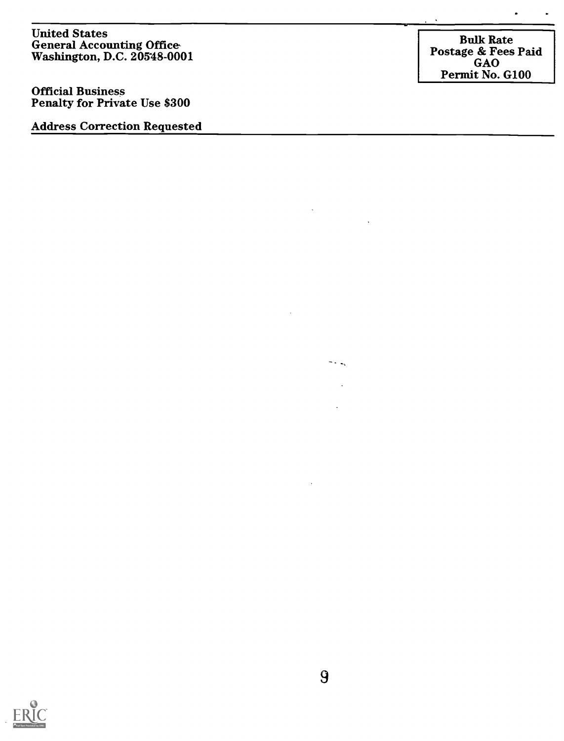United States General Accounting Office Washington, D.C. 20548-0001

Official Business Penalty for Private Use \$300

Address Correction Requested

Bulk Rate Postage & Fees Paid GAO Permit No. G100

 $\ddot{\phantom{1}}$ 

 $\ddot{\phantom{0}}$ 



 $\overline{\phantom{a}}$  .